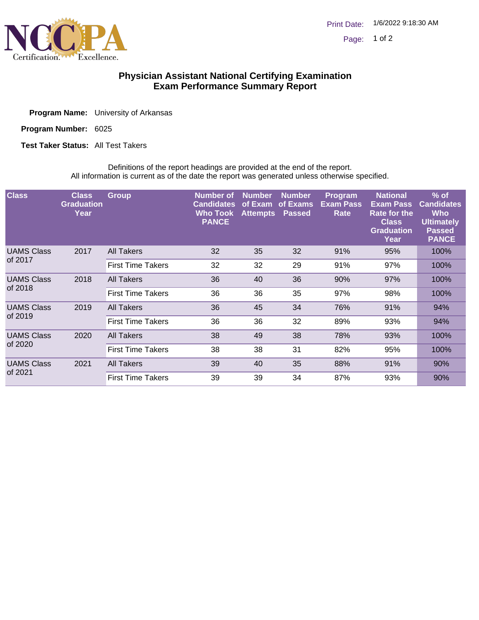

## **Physician Assistant National Certifying Examination Exam Performance Summary Report**

| <b>Program Name:</b> University of Arkansas |
|---------------------------------------------|
|                                             |

Program Number: 6025

**Test Taker Status: All Test Takers** 

Definitions of the report headings are provided at the end of the report. All information is current as of the date the report was generated unless otherwise specified.

| <b>Class</b>                 | <b>Class</b><br><b>Graduation</b><br>Year | <b>Group</b>             | Number of<br><b>Candidates</b><br><b>Who Took</b><br><b>PANCE</b> | <b>Number</b><br>of Exam<br><b>Attempts</b> | <b>Number</b><br>of Exams<br><b>Passed</b> | <b>Program</b><br><b>Exam Pass</b><br>Rate | <b>National</b><br><b>Exam Pass</b><br><b>Rate for the</b><br><b>Class</b><br><b>Graduation</b><br>Year | $%$ of<br><b>Candidates</b><br><b>Who</b><br><b>Ultimately</b><br><b>Passed</b><br><b>PANCE</b> |
|------------------------------|-------------------------------------------|--------------------------|-------------------------------------------------------------------|---------------------------------------------|--------------------------------------------|--------------------------------------------|---------------------------------------------------------------------------------------------------------|-------------------------------------------------------------------------------------------------|
| <b>UAMS Class</b><br>of 2017 | 2017                                      | <b>All Takers</b>        | 32                                                                | 35                                          | 32                                         | 91%                                        | 95%                                                                                                     | 100%                                                                                            |
|                              |                                           | <b>First Time Takers</b> | 32                                                                | 32                                          | 29                                         | 91%                                        | 97%                                                                                                     | 100%                                                                                            |
| <b>UAMS Class</b><br>of 2018 | 2018                                      | <b>All Takers</b>        | 36                                                                | 40                                          | 36                                         | 90%                                        | 97%                                                                                                     | 100%                                                                                            |
|                              |                                           | <b>First Time Takers</b> | 36                                                                | 36                                          | 35                                         | 97%                                        | 98%                                                                                                     | 100%                                                                                            |
| <b>UAMS Class</b><br>of 2019 | 2019                                      | <b>All Takers</b>        | 36                                                                | 45                                          | 34                                         | 76%                                        | 91%                                                                                                     | 94%                                                                                             |
|                              |                                           | <b>First Time Takers</b> | 36                                                                | 36                                          | 32                                         | 89%                                        | 93%                                                                                                     | 94%                                                                                             |
| <b>UAMS Class</b><br>of 2020 | 2020                                      | <b>All Takers</b>        | 38                                                                | 49                                          | 38                                         | 78%                                        | 93%                                                                                                     | 100%                                                                                            |
|                              |                                           | <b>First Time Takers</b> | 38                                                                | 38                                          | 31                                         | 82%                                        | 95%                                                                                                     | 100%                                                                                            |
| <b>UAMS Class</b><br>of 2021 | 2021                                      | <b>All Takers</b>        | 39                                                                | 40                                          | 35                                         | 88%                                        | 91%                                                                                                     | 90%                                                                                             |
|                              |                                           | <b>First Time Takers</b> | 39                                                                | 39                                          | 34                                         | 87%                                        | 93%                                                                                                     | 90%                                                                                             |